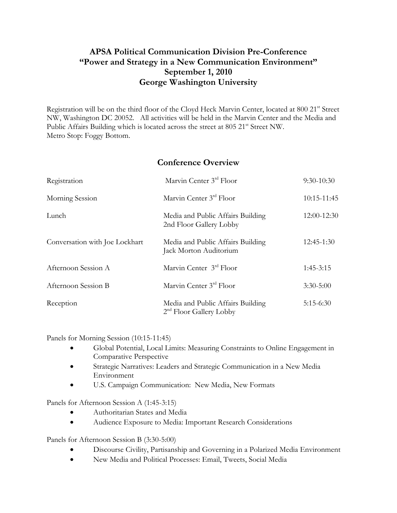# **APSA Political Communication Division Pre-Conference "Power and Strategy in a New Communication Environment" September 1, 2010 George Washington University**

Registration will be on the third floor of the Cloyd Heck Marvin Center, located at 800 21<sup>st</sup> Street NW, Washington DC 20052. All activities will be held in the Marvin Center and the Media and Public Affairs Building which is located across the street at 805 21<sup>st</sup> Street NW. Metro Stop: Foggy Bottom.

## **Conference Overview**

| Registration                   | Marvin Center 3rd Floor                                        | $9:30-10:30$    |
|--------------------------------|----------------------------------------------------------------|-----------------|
| Morning Session                | Marvin Center 3 <sup>rd</sup> Floor                            | $10:15 - 11:45$ |
| Lunch                          | Media and Public Affairs Building<br>2nd Floor Gallery Lobby   | 12:00-12:30     |
| Conversation with Joe Lockhart | Media and Public Affairs Building<br>Jack Morton Auditorium    | 12:45-1:30      |
| Afternoon Session A            | Marvin Center 3rd Floor                                        | $1:45-3:15$     |
| Afternoon Session B            | Marvin Center 3 <sup>rd</sup> Floor                            | $3:30 - 5:00$   |
| Reception                      | Media and Public Affairs Building<br>$2nd$ Floor Gallery Lobby | $5:15-6:30$     |

Panels for Morning Session (10:15-11:45)

- Global Potential, Local Limits: Measuring Constraints to Online Engagement in Comparative Perspective
- Strategic Narratives: Leaders and Strategic Communication in a New Media Environment
- U.S. Campaign Communication: New Media, New Formats

Panels for Afternoon Session A (1:45-3:15)

- Authoritarian States and Media
- Audience Exposure to Media: Important Research Considerations

Panels for Afternoon Session B (3:30-5:00)

- Discourse Civility, Partisanship and Governing in a Polarized Media Environment
- New Media and Political Processes: Email, Tweets, Social Media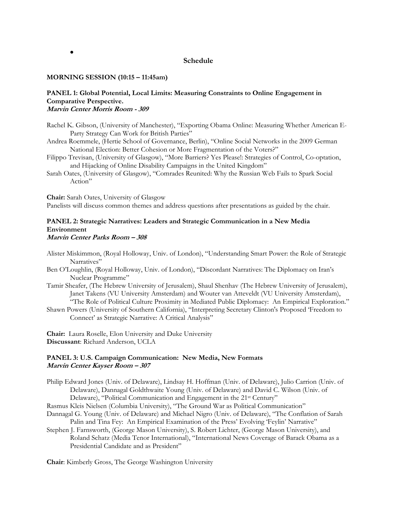## **Schedule**

#### **MORNING SESSION (10:15 – 11:45am)**

 $\bullet$ 

#### **PANEL 1: Global Potential, Local Limits: Measuring Constraints to Online Engagement in Comparative Perspective. Marvin Center Morris Room - 309**

- Rachel K. Gibson, (University of Manchester), "Exporting Obama Online: Measuring Whether American E-Party Strategy Can Work for British Parties"
- Andrea Roemmele, (Hertie School of Governance, Berlin), "Online Social Networks in the 2009 German National Election: Better Cohesion or More Fragmentation of the Voters?"
- Filippo Trevisan, (University of Glasgow), "More Barriers? Yes Please!: Strategies of Control, Co-optation, and Hijacking of Online Disability Campaigns in the United Kingdom"
- Sarah Oates, (University of Glasgow), "Comrades Reunited: Why the Russian Web Fails to Spark Social Action"

**Chair:** Sarah Oates, University of Glasgow Panelists will discuss common themes and address questions after presentations as guided by the chair.

## **PANEL 2: Strategic Narratives: Leaders and Strategic Communication in a New Media Environment**

## **Marvin Center Parks Room – 308**

- Alister Miskimmon, (Royal Holloway, Univ. of London), "Understanding Smart Power: the Role of Strategic Narratives"
- Ben O'Loughlin, (Royal Holloway, Univ. of London), "Discordant Narratives: The Diplomacy on Iran's Nuclear Programme"
- Tamir Sheafer, (The Hebrew University of Jerusalem), Shaul Shenhav (The Hebrew University of Jerusalem), Janet Takens (VU University Amsterdam) and Wouter van Atteveldt (VU University Amsterdam), "The Role of Political Culture Proximity in Mediated Public Diplomacy: An Empirical Exploration."
- Shawn Powers (University of Southern California), "Interpreting Secretary Clinton's Proposed 'Freedom to Connect' as Strategic Narrative: A Critical Analysis"

**Chair:** Laura Roselle, Elon University and Duke University **Discussant**: Richard Anderson, UCLA

## **PANEL 3: U.S. Campaign Communication: New Media, New Formats Marvin Center Kayser Room – 307**

- Philip Edward Jones (Univ. of Delaware), Lindsay H. Hoffman (Univ. of Delaware), Julio Carrion (Univ. of Delaware), Dannagal Goldthwaite Young (Univ. of Delaware) and David C. Wilson (Univ. of Delaware), "Political Communication and Engagement in the 21<sup>st</sup> Century"
- Rasmus Kleis Nielsen (Columbia University), "The Ground War as Political Communication"
- Dannagal G. Young (Univ. of Delaware) and Michael Nigro (Univ. of Delaware), "The Conflation of Sarah Palin and Tina Fey: An Empirical Examination of the Press' Evolving 'Feylin' Narrative"
- Stephen J. Farnsworth, (George Mason University), S. Robert Lichter, (George Mason University), and Roland Schatz (Media Tenor International), "International News Coverage of Barack Obama as a Presidential Candidate and as President"

**Chair**: Kimberly Gross, The George Washington University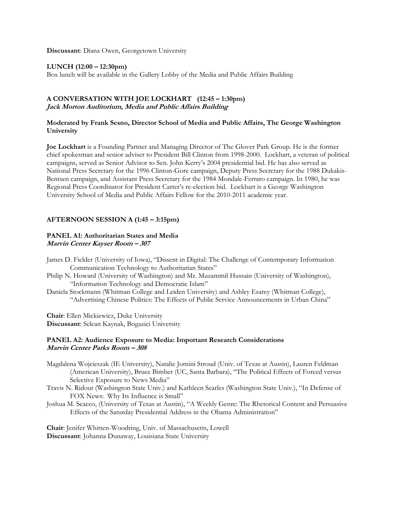**Discussant**: Diana Owen, Georgetown University

## **LUNCH (12:00 – 12:30pm)**

Box lunch will be available in the Gallery Lobby of the Media and Public Affairs Building

## **A CONVERSATION WITH JOE LOCKHART (12:45 – 1:30pm) Jack Morton Auditorium, Media and Public Affairs Building**

## **Moderated by Frank Sesno, Director School of Media and Public Affairs, The George Washington University**

**Joe Lockhart** is a Founding Partner and Managing Director of The Glover Park Group. He is the former chief spokesman and senior adviser to President Bill Clinton from 1998-2000. Lockhart, a veteran of political campaigns, served as Senior Advisor to Sen. John Kerry's 2004 presidential bid. He has also served as National Press Secretary for the 1996 Clinton-Gore campaign, Deputy Press Secretary for the 1988 Dukakis-Bentsen campaign, and Assistant Press Secretary for the 1984 Mondale-Ferraro campaign. In 1980, he was Regional Press Coordinator for President Carter's re-election bid. Lockhart is a George Washington University School of Media and Public Affairs Fellow for the 2010-2011 academic year.

## **AFTERNOON SESSION A (1:45 – 3:15pm)**

#### **PANEL A1: Authoritarian States and Media Marvin Center Kayser Room – 307**

- James D. Fielder (University of Iowa), "Dissent in Digital: The Challenge of Contemporary Information Communication Technology to Authoritarian States"
- Philip N. Howard (University of Washington) and Mr. Muzammil Hussain (University of Washington), "Information Technology and Democratic Islam"
- Daniela Stockmann (Whitman College and Leiden University) and Ashley Esarey (Whitman College), "Advertising Chinese Politics: The Effects of Public Service Announcements in Urban China"

**Chair**: Ellen Mickiewicz, Duke University **Discussant**: Selcan Kaynak, Bogazici University

## **PANEL A2: Audience Exposure to Media: Important Research Considerations Marvin Center Parks Room – 308**

- Magdalena Wojcieszak (IE University), Natalie Jomini Stroud (Univ. of Texas at Austin), Lauren Feldman (American University), Bruce Bimber (UC, Santa Barbara), "The Political Effects of Forced versus Selective Exposure to News Media"
- Travis N. Ridout (Washington State Univ.) and Kathleen Searles (Washington State Univ.), "In Defense of FOX News: Why Its Influence is Small"
- Joshua M. Scacco, (University of Texas at Austin), "A Weekly Genre: The Rhetorical Content and Persuasive Effects of the Saturday Presidential Address in the Obama Administration"

**Chair**: Jenifer Whitten-Woodring, Univ. of Massachusetts, Lowell **Discussant**: Johanna Dunaway, Louisiana State University